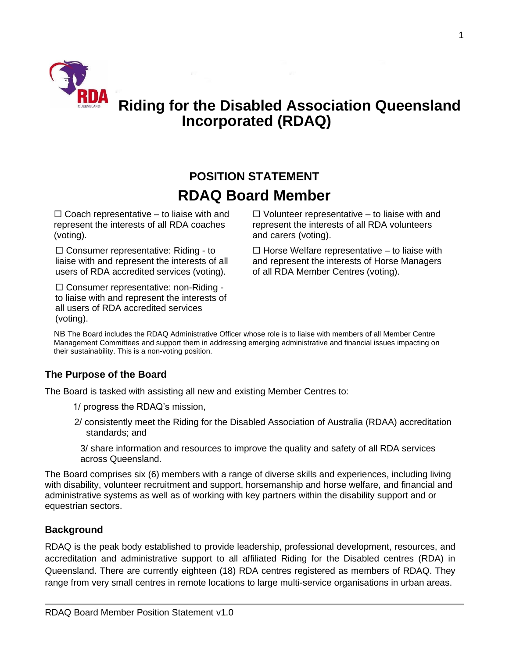

# **Riding for the Disabled Association Queensland Incorporated (RDAQ)**

# **POSITION STATEMENT RDAQ Board Member**

 $\Box$  Coach representative – to liaise with and represent the interests of all RDA coaches (voting).

 $\square$  Consumer representative: Riding - to liaise with and represent the interests of all users of RDA accredited services (voting).

□ Consumer representative: non-Riding to liaise with and represent the interests of all users of RDA accredited services (voting).

 $\Box$  Volunteer representative – to liaise with and represent the interests of all RDA volunteers and carers (voting).

 $\Box$  Horse Welfare representative – to liaise with and represent the interests of Horse Managers of all RDA Member Centres (voting).

NB The Board includes the RDAQ Administrative Officer whose role is to liaise with members of all Member Centre Management Committees and support them in addressing emerging administrative and financial issues impacting on their sustainability. This is a non-voting position.

#### **The Purpose of the Board**

The Board is tasked with assisting all new and existing Member Centres to:

1/ progress the RDAQ's mission,

2/ consistently meet the Riding for the Disabled Association of Australia (RDAA) accreditation standards; and

3/ share information and resources to improve the quality and safety of all RDA services across Queensland.

The Board comprises six (6) members with a range of diverse skills and experiences, including living with disability, volunteer recruitment and support, horsemanship and horse welfare, and financial and administrative systems as well as of working with key partners within the disability support and or equestrian sectors.

#### **Background**

RDAQ is the peak body established to provide leadership, professional development, resources, and accreditation and administrative support to all affiliated Riding for the Disabled centres (RDA) in Queensland. There are currently eighteen (18) RDA centres registered as members of RDAQ. They range from very small centres in remote locations to large multi-service organisations in urban areas.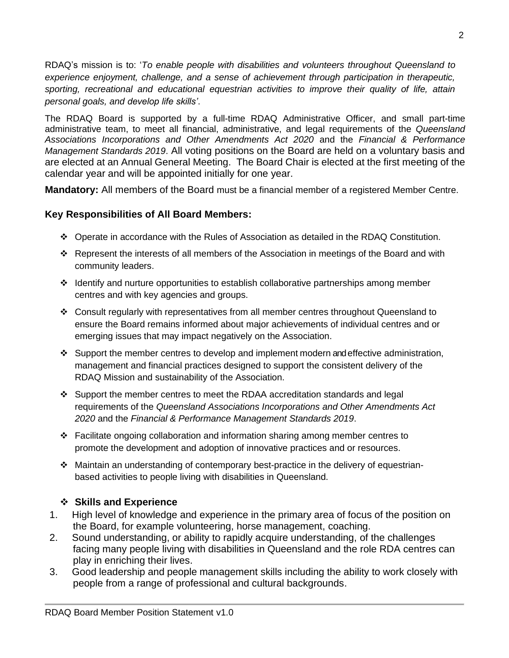RDAQ's mission is to: '*To enable people with disabilities and volunteers throughout Queensland to experience enjoyment, challenge, and a sense of achievement through participation in therapeutic, sporting, recreational and educational equestrian activities to improve their quality of life, attain personal goals, and develop life skills'*.

The RDAQ Board is supported by a full-time RDAQ Administrative Officer, and small part-time administrative team, to meet all financial, administrative, and legal requirements of the *Queensland Associations Incorporations and Other Amendments Act 2020* and the *Financial & Performance Management Standards 2019*. All voting positions on the Board are held on a voluntary basis and are elected at an Annual General Meeting. The Board Chair is elected at the first meeting of the calendar year and will be appointed initially for one year.

**Mandatory:** All members of the Board must be a financial member of a registered Member Centre.

## **Key Responsibilities of All Board Members:**

- ❖ Operate in accordance with the Rules of Association as detailed in the RDAQ Constitution.
- ❖ Represent the interests of all members of the Association in meetings of the Board and with community leaders.
- ❖ Identify and nurture opportunities to establish collaborative partnerships among member centres and with key agencies and groups.
- ❖ Consult regularly with representatives from all member centres throughout Queensland to ensure the Board remains informed about major achievements of individual centres and or emerging issues that may impact negatively on the Association.
- ❖ Support the member centres to develop and implement modern and effective administration, management and financial practices designed to support the consistent delivery of the RDAQ Mission and sustainability of the Association.
- ❖ Support the member centres to meet the RDAA accreditation standards and legal requirements of the *Queensland Associations Incorporations and Other Amendments Act 2020* and the *Financial & Performance Management Standards 2019*.
- ❖ Facilitate ongoing collaboration and information sharing among member centres to promote the development and adoption of innovative practices and or resources.
- ❖ Maintain an understanding of contemporary best-practice in the delivery of equestrianbased activities to people living with disabilities in Queensland.

## ❖ **Skills and Experience**

- 1. High level of knowledge and experience in the primary area of focus of the position on the Board, for example volunteering, horse management, coaching.
- 2. Sound understanding, or ability to rapidly acquire understanding, of the challenges facing many people living with disabilities in Queensland and the role RDA centres can play in enriching their lives.
- 3. Good leadership and people management skills including the ability to work closely with people from a range of professional and cultural backgrounds.